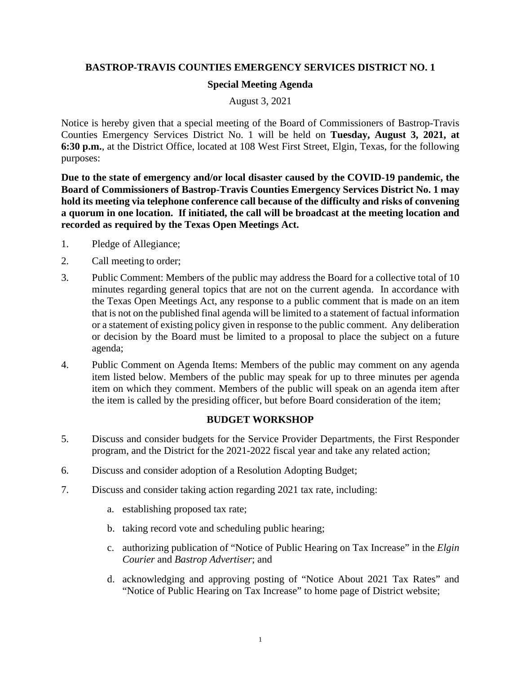## **BASTROP-TRAVIS COUNTIES EMERGENCY SERVICES DISTRICT NO. 1**

## **Special Meeting Agenda**

August 3, 2021

Notice is hereby given that a special meeting of the Board of Commissioners of Bastrop-Travis Counties Emergency Services District No. 1 will be held on **Tuesday, August 3, 2021, at 6:30 p.m.**, at the District Office, located at 108 West First Street, Elgin, Texas, for the following purposes:

**Due to the state of emergency and/or local disaster caused by the COVID-19 pandemic, the Board of Commissioners of Bastrop-Travis Counties Emergency Services District No. 1 may hold its meeting via telephone conference call because of the difficulty and risks of convening a quorum in one location. If initiated, the call will be broadcast at the meeting location and recorded as required by the Texas Open Meetings Act.**

- 1. Pledge of Allegiance;
- 2. Call meeting to order;
- 3. Public Comment: Members of the public may address the Board for a collective total of 10 minutes regarding general topics that are not on the current agenda. In accordance with the Texas Open Meetings Act, any response to a public comment that is made on an item that is not on the published final agenda will be limited to a statement of factual information or a statement of existing policy given in response to the public comment. Any deliberation or decision by the Board must be limited to a proposal to place the subject on a future agenda;
- 4. Public Comment on Agenda Items: Members of the public may comment on any agenda item listed below. Members of the public may speak for up to three minutes per agenda item on which they comment. Members of the public will speak on an agenda item after the item is called by the presiding officer, but before Board consideration of the item;

## **BUDGET WORKSHOP**

- 5. Discuss and consider budgets for the Service Provider Departments, the First Responder program, and the District for the 2021-2022 fiscal year and take any related action;
- 6. Discuss and consider adoption of a Resolution Adopting Budget;
- 7. Discuss and consider taking action regarding 2021 tax rate, including:
	- a. establishing proposed tax rate;
	- b. taking record vote and scheduling public hearing;
	- c. authorizing publication of "Notice of Public Hearing on Tax Increase" in the *Elgin Courier* and *Bastrop Advertiser*; and
	- d. acknowledging and approving posting of "Notice About 2021 Tax Rates" and "Notice of Public Hearing on Tax Increase" to home page of District website;